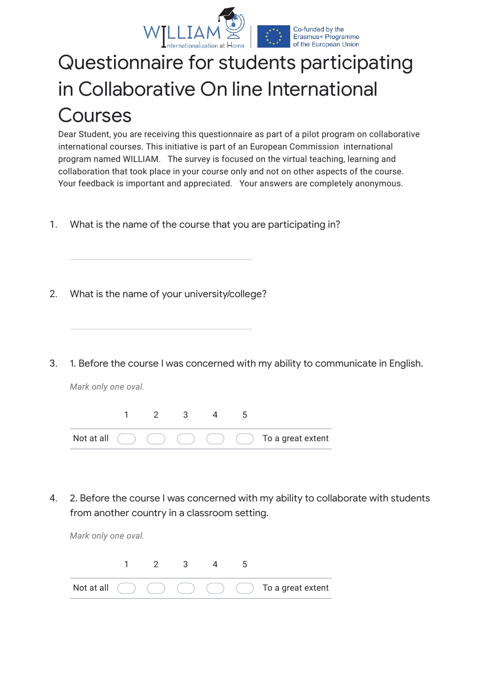

## Questionnaire for students participating in Collaborative On line International Courses

Dear Student, you are receiving this questionnaire as part of a pilot program on collaborative international courses. This initiative is part of an European Commission international program named WILLIAM. The survey is focused on the virtual teaching, learning and collaboration that took place in your course only and not on other aspects of the course. Your feedback is important and appreciated. Your answers are completely anonymous.

- 1. What is the name of the course that you are participating in?
- 2. What is the name of your university/college?
- 3. 1. Before the course I was concerned with my ability to communicate in English.

*Mark only one oval.*



4. 2. Before the course I was concerned with my ability to collaborate with students from another country in a classroom setting.

*Mark only one oval.*

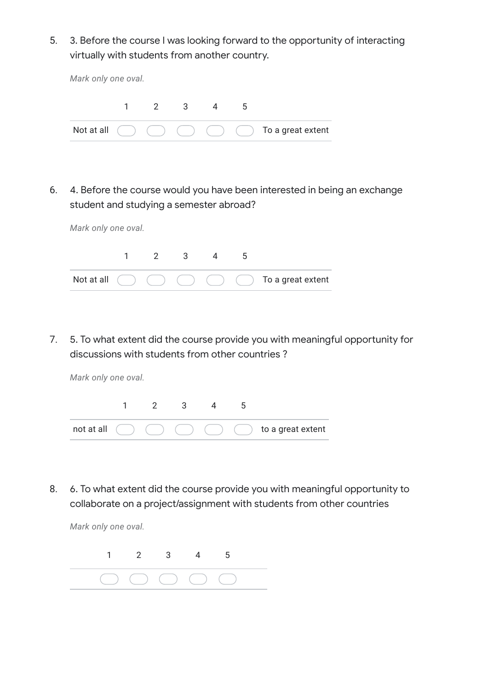5. 3. Before the course I was looking forward to the opportunity of interacting virtually with students from another country.

| Mark only one oval. |  |                |     |  |   |                                                                   |  |  |
|---------------------|--|----------------|-----|--|---|-------------------------------------------------------------------|--|--|
|                     |  | $\overline{2}$ | - 3 |  | ა |                                                                   |  |  |
| Not at all $\left($ |  |                |     |  |   | $($ $)$ $($ $)$ $($ $)$ $($ $)$ $)$ $[$ $]$ $]$ To a great extent |  |  |

6. 4. Before the course would you have been interested in being an exchange student and studying a semester abroad?

|  | $\mathcal{P}$ | 3 |  |                                                                      |
|--|---------------|---|--|----------------------------------------------------------------------|
|  |               |   |  | Not at all $( ) ( ) ( ) ( ) ( ) ( )$ (b) $( ) ( )$ To a great extent |

7. 5. To what extent did the course provide you with meaningful opportunity for discussions with students from other countries ?

*Mark only one oval.*

*Mark only one oval.*



8. 6. To what extent did the course provide you with meaningful opportunity to collaborate on a project/assignment with students from other countries

*Mark only one oval.*

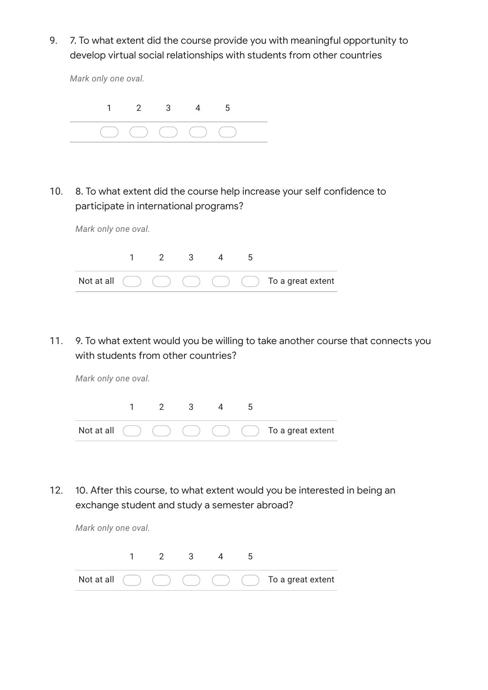9. 7. To what extent did the course provide you with meaningful opportunity to develop virtual social relationships with students from other countries

*Mark only one oval.* 1 2 3 4 5

10. 8. To what extent did the course help increase your self confidence to participate in international programs?

*Mark only one oval.* Not at all 1 2 3 4 5 To a great extent

11. 9. To what extent would you be willing to take another course that connects you with students from other countries?

*Mark only one oval.*



12. 10. After this course, to what extent would you be interested in being an exchange student and study a semester abroad?

| Mark only one oval. |  |                         |    |                                                                 |
|---------------------|--|-------------------------|----|-----------------------------------------------------------------|
|                     |  | $\overline{\mathbf{3}}$ | C. |                                                                 |
| Not at all $($      |  |                         |    | $( )$ $( )$ $( )$ $( )$ $( )$ $( )$ $( )$ $]$ To a great extent |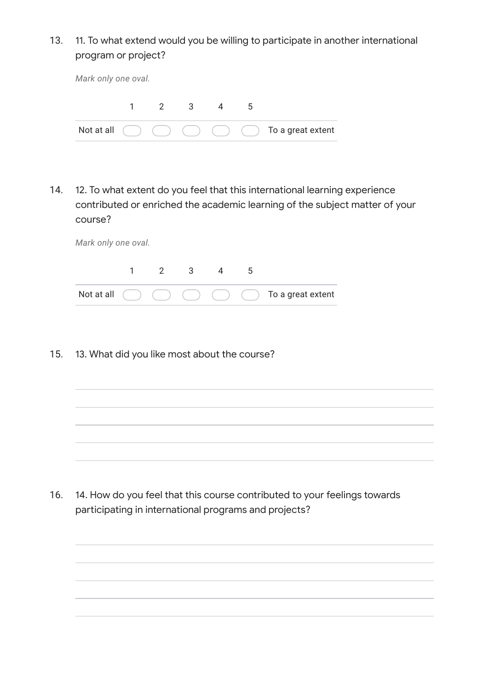13. 11. To what extend would you be willing to participate in another international program or project?

| Mark only one oval. |  |               |              |  |  |                                                           |  |  |
|---------------------|--|---------------|--------------|--|--|-----------------------------------------------------------|--|--|
|                     |  | $\frac{2}{2}$ | $\mathbf{3}$ |  |  |                                                           |  |  |
| Not at all $($      |  |               |              |  |  | $($ $)$ $($ $)$ $($ $)$ $($ $)$ $($ $)$ To a great extent |  |  |

14. 12. To what extent do you feel that this international learning experience contributed or enriched the academic learning of the subject matter of your course?

| Mark only one oval. |  |               |     |  |    |                                                                                |  |  |
|---------------------|--|---------------|-----|--|----|--------------------------------------------------------------------------------|--|--|
|                     |  | $\mathcal{P}$ | - 3 |  | .5 |                                                                                |  |  |
|                     |  |               |     |  |    | Not at all $( ) ( ) ( ) ( ) ( )$ $( ) ( )$ $( )$ $( )$ $( )$ To a great extent |  |  |

15. 13. What did you like most about the course?

16. 14. How do you feel that this course contributed to your feelings towards participating in international programs and projects?